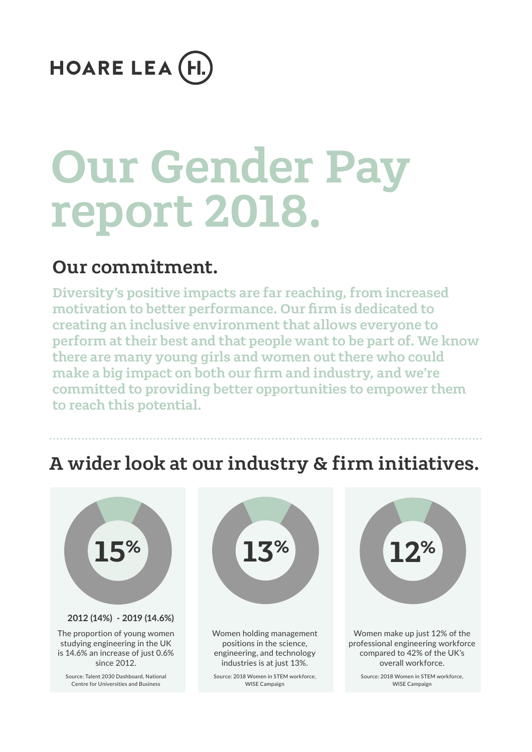## **HOARE LEA (H.**

# Our Gender Pay report 2018.

## Our commitment.

Diversity's positive impacts are far reaching, from increased motivation to better performance. Our firm is dedicated to creating an inclusive environment that allows everyone to perform at their best and that people want to be part of. We know there are many young girls and women out there who could make a big impact on both our firm and industry, and we're committed to providing better opportunities to empower them to reach this potential.

## A wider look at our industry & firm initiatives.





Women holding management positions in the science, engineering, and technology industries is at just 13%.

Source: 2018 Women in STEM workforce, WISE Campaign

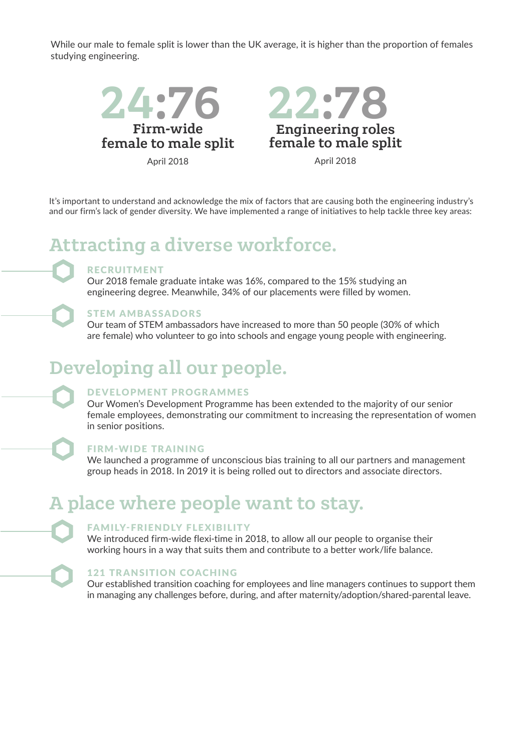While our male to female split is lower than the UK average, it is higher than the proportion of females studying engineering.



It's important to understand and acknowledge the mix of factors that are causing both the engineering industry's and our firm's lack of gender diversity. We have implemented a range of initiatives to help tackle three key areas:

## Attracting a diverse workforce.

#### RECRUITMENT

Our 2018 female graduate intake was 16%, compared to the 15% studying an engineering degree. Meanwhile, 34% of our placements were filled by women.

#### STEM AMBASSADORS

Our team of STEM ambassadors have increased to more than 50 people (30% of which are female) who volunteer to go into schools and engage young people with engineering.

#### Developing all our people.

#### DEVELOPMENT PROGRAMMES

Our Women's Development Programme has been extended to the majority of our senior female employees, demonstrating our commitment to increasing the representation of women in senior positions.

#### FIRM-WIDE TRAINING

We launched a programme of unconscious bias training to all our partners and management group heads in 2018. In 2019 it is being rolled out to directors and associate directors.

#### A place where people want to stay.

#### FAMILY-FRIENDLY FLEXIBILITY

We introduced firm-wide flexi-time in 2018, to allow all our people to organise their working hours in a way that suits them and contribute to a better work/life balance.

#### 121 TRANSITION COACHING

Our established transition coaching for employees and line managers continues to support them in managing any challenges before, during, and after maternity/adoption/shared-parental leave.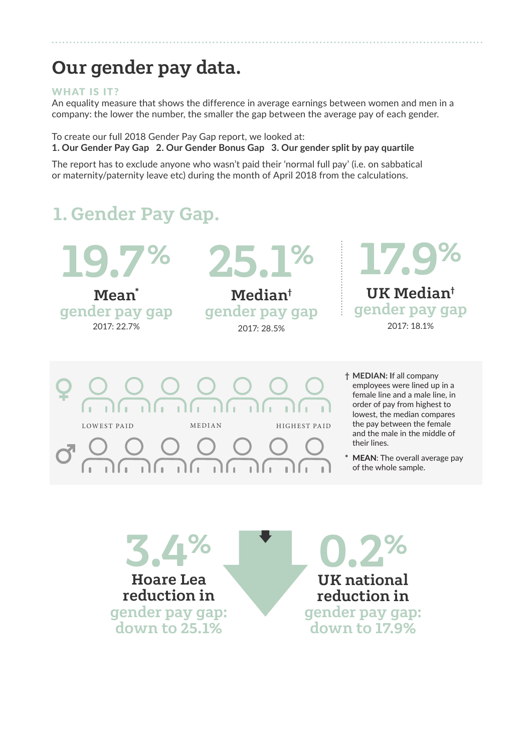## Our gender pay data.

#### WHAT IS IT?

An equality measure that shows the difference in average earnings between women and men in a company: the lower the number, the smaller the gap between the average pay of each gender.

To create our full 2018 Gender Pay Gap report, we looked at: **1. Our Gender Pay Gap 2. Our Gender Bonus Gap 3. Our gender split by pay quartile** 

The report has to exclude anyone who wasn't paid their 'normal full pay' (i.e. on sabbatical or maternity/paternity leave etc) during the month of April 2018 from the calculations.

## 1.Gender Pay Gap.

19.7 % Mean\* gender pay gap

2017: 22.7%

25.1%

Median† gender pay gap 2017: 28.5%





**† MEDIAN: I**f all company employees were lined up in a female line and a male line, in order of pay from highest to lowest, the median compares the pay between the female and the male in the middle of their lines.

**\* MEAN**: The overall average pay of the whole sample.

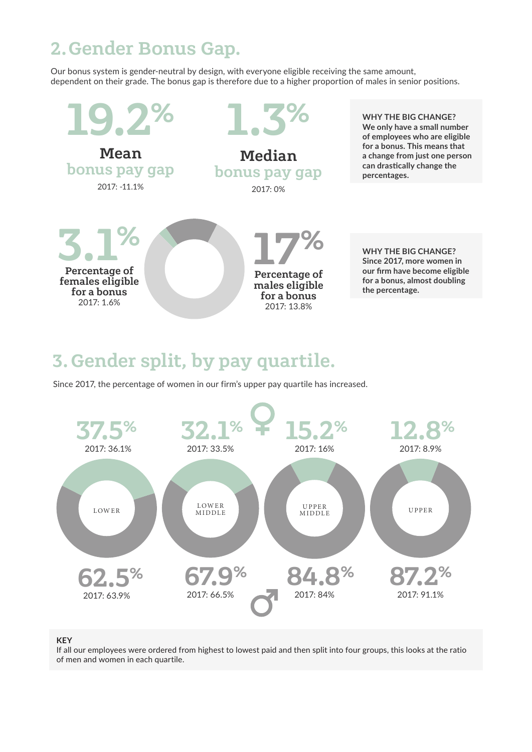## 2.Gender Bonus Gap.

Our bonus system is gender-neutral by design, with everyone eligible receiving the same amount, dependent on their grade. The bonus gap is therefore due to a higher proportion of males in senior positions.



## 3.Gender split, by pay quartile.

Since 2017, the percentage of women in our firm's upper pay quartile has increased.



#### **KEY**

If all our employees were ordered from highest to lowest paid and then split into four groups, this looks at the ratio of men and women in each quartile.